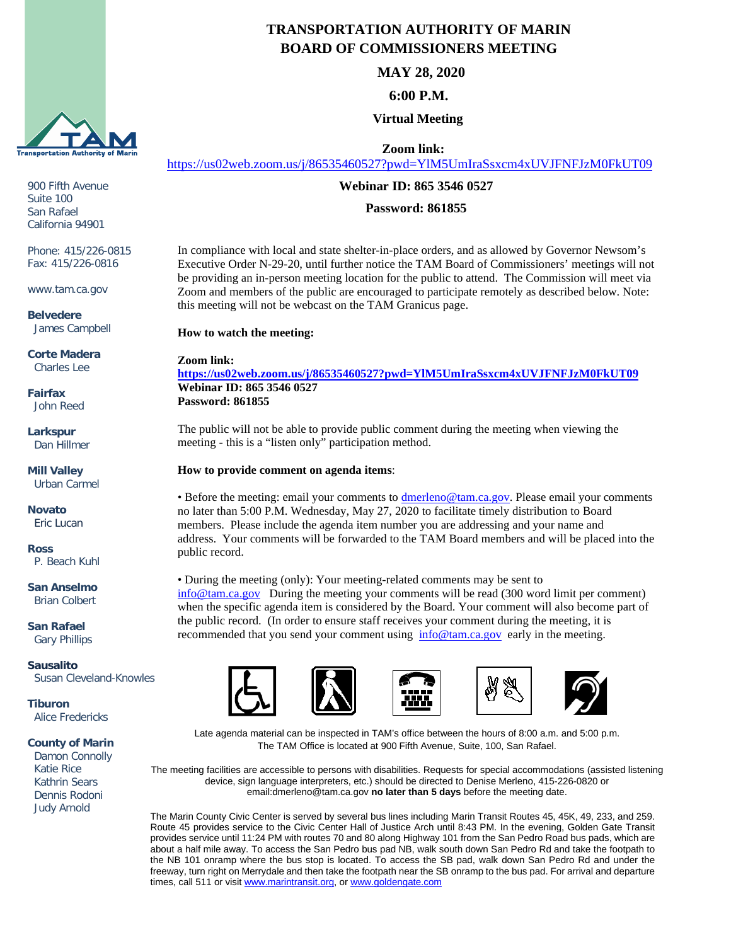

900 Fifth Avenue Suite 100 San Rafael California 94901

Phone: 415/226-0815 Fax: 415/226-0816

www.tam.ca.gov

**Belvedere** James Campbell

**Corte Madera** Charles Lee

**Fairfax** John Reed

**Larkspur** Dan Hillmer

**Mill Valley** Urban Carmel

**Novato** Eric Lucan

**Ross** P. Beach Kuhl

**San Anselmo** Brian Colbert

**San Rafael** Gary Phillips

**Sausalito** Susan Cleveland-Knowles

**Tiburon** Alice Fredericks

## **County of Marin**

 Damon Connolly Katie Rice Kathrin Sears Dennis Rodoni Judy Arnold

## **TRANSPORTATION AUTHORITY OF MARIN BOARD OF COMMISSIONERS MEETING**

**MAY 28, 2020**

**6:00 P.M.**

**Virtual Meeting**

**Zoom link:**

<https://us02web.zoom.us/j/86535460527?pwd=YlM5UmIraSsxcm4xUVJFNFJzM0FkUT09>

**Webinar ID: 865 3546 0527**

**Password: 861855**

In compliance with local and state shelter-in-place orders, and as allowed by Governor Newsom's Executive Order N-29-20, until further notice the TAM Board of Commissioners' meetings will not be providing an in-person meeting location for the public to attend. The Commission will meet via Zoom and members of the public are encouraged to participate remotely as described below. Note: this meeting will not be webcast on the TAM Granicus page.

**How to watch the meeting:**

**Zoom link: <https://us02web.zoom.us/j/86535460527?pwd=YlM5UmIraSsxcm4xUVJFNFJzM0FkUT09> Webinar ID: 865 3546 0527 Password: 861855**

The public will not be able to provide public comment during the meeting when viewing the meeting - this is a "listen only" participation method.

## **How to provide comment on agenda items**:

• Before the meeting: email your comments to [dmerleno@tam.ca.gov.](mailto:dmerleno@tam.ca.gov) Please email your comments no later than 5:00 P.M. Wednesday, May 27, 2020 to facilitate timely distribution to Board members. Please include the agenda item number you are addressing and your name and address. Your comments will be forwarded to the TAM Board members and will be placed into the public record.

• During the meeting (only): Your meeting-related comments may be sent to [info@tam.ca.gov](mailto:info@tam.ca.gov) During the meeting your comments will be read (300 word limit per comment) when the specific agenda item is considered by the Board. Your comment will also become part of the public record. (In order to ensure staff receives your comment during the meeting, it is recommended that you send your comment using [info@tam.ca.gov](mailto:info@tam.ca.gov) early in the meeting.









Late agenda material can be inspected in TAM's office between the hours of 8:00 a.m. and 5:00 p.m. The TAM Office is located at 900 Fifth Avenue, Suite, 100, San Rafael.

The meeting facilities are accessible to persons with disabilities. Requests for special accommodations (assisted listening device, sign language interpreters, etc.) should be directed to Denise Merleno, 415-226-0820 or email:dmerleno@tam.ca.gov **no later than 5 days** before the meeting date.

The Marin County Civic Center is served by several bus lines including Marin Transit Routes 45, 45K, 49, 233, and 259. Route 45 provides service to the Civic Center Hall of Justice Arch until 8:43 PM. In the evening, Golden Gate Transit provides service until 11:24 PM with routes 70 and 80 along Highway 101 from the San Pedro Road bus pads, which are about a half mile away. To access the San Pedro bus pad NB, walk south down San Pedro Rd and take the footpath to the NB 101 onramp where the bus stop is located. To access the SB pad, walk down San Pedro Rd and under the freeway, turn right on Merrydale and then take the footpath near the SB onramp to the bus pad. For arrival and departure times, call 511 or visit [www.marintransit.org,](file://tamfs2/tam/03.%20TAM%20BOARDS%20&%20COMMITTEES/03.01%20TAM%20Board/03.01.03%20Board%20Packets/www.marintransit.org) o[r www.goldengate.com](file://tamfs2/tam/03.%20TAM%20BOARDS%20&%20COMMITTEES/03.01%20TAM%20Board/03.01.03%20Board%20Packets/www.goldengate.com)